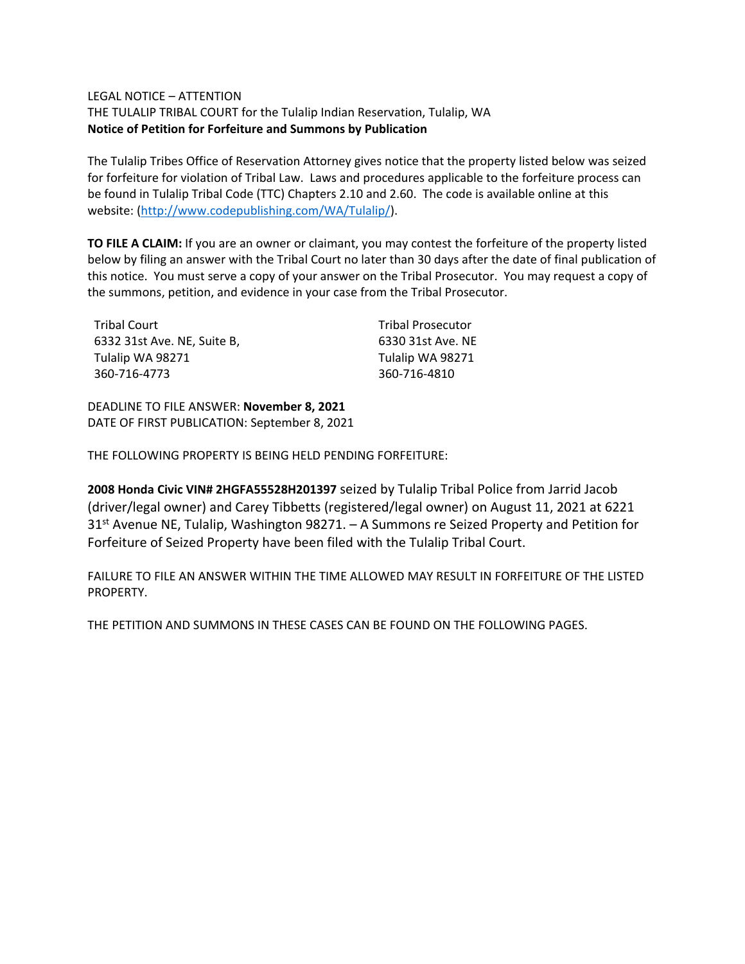## LEGAL NOTICE – ATTENTION

THE TULALIP TRIBAL COURT for the Tulalip Indian Reservation, Tulalip, WA **Notice of Petition for Forfeiture and Summons by Publication**

The Tulalip Tribes Office of Reservation Attorney gives notice that the property listed below was seized for forfeiture for violation of Tribal Law. Laws and procedures applicable to the forfeiture process can be found in Tulalip Tribal Code (TTC) Chapters 2.10 and 2.60. The code is available online at this website: [\(http://www.codepublishing.com/WA/Tulalip/\)](http://www.codepublishing.com/WA/Tulalip/).

**TO FILE A CLAIM:** If you are an owner or claimant, you may contest the forfeiture of the property listed below by filing an answer with the Tribal Court no later than 30 days after the date of final publication of this notice. You must serve a copy of your answer on the Tribal Prosecutor. You may request a copy of the summons, petition, and evidence in your case from the Tribal Prosecutor.

| Tribal Court                | <b>Tribal Prosecutor</b> |
|-----------------------------|--------------------------|
| 6332 31st Ave. NE, Suite B, | 6330 31st Ave. NE        |
| Tulalip WA 98271            | Tulalip WA 98271         |
| 360-716-4773                | 360-716-4810             |

DEADLINE TO FILE ANSWER: **November 8, 2021** DATE OF FIRST PUBLICATION: September 8, 2021

THE FOLLOWING PROPERTY IS BEING HELD PENDING FORFEITURE:

**2008 Honda Civic VIN# 2HGFA55528H201397** seized by Tulalip Tribal Police from Jarrid Jacob (driver/legal owner) and Carey Tibbetts (registered/legal owner) on August 11, 2021 at 6221 31<sup>st</sup> Avenue NE, Tulalip, Washington 98271. - A Summons re Seized Property and Petition for Forfeiture of Seized Property have been filed with the Tulalip Tribal Court.

FAILURE TO FILE AN ANSWER WITHIN THE TIME ALLOWED MAY RESULT IN FORFEITURE OF THE LISTED PROPERTY.

THE PETITION AND SUMMONS IN THESE CASES CAN BE FOUND ON THE FOLLOWING PAGES.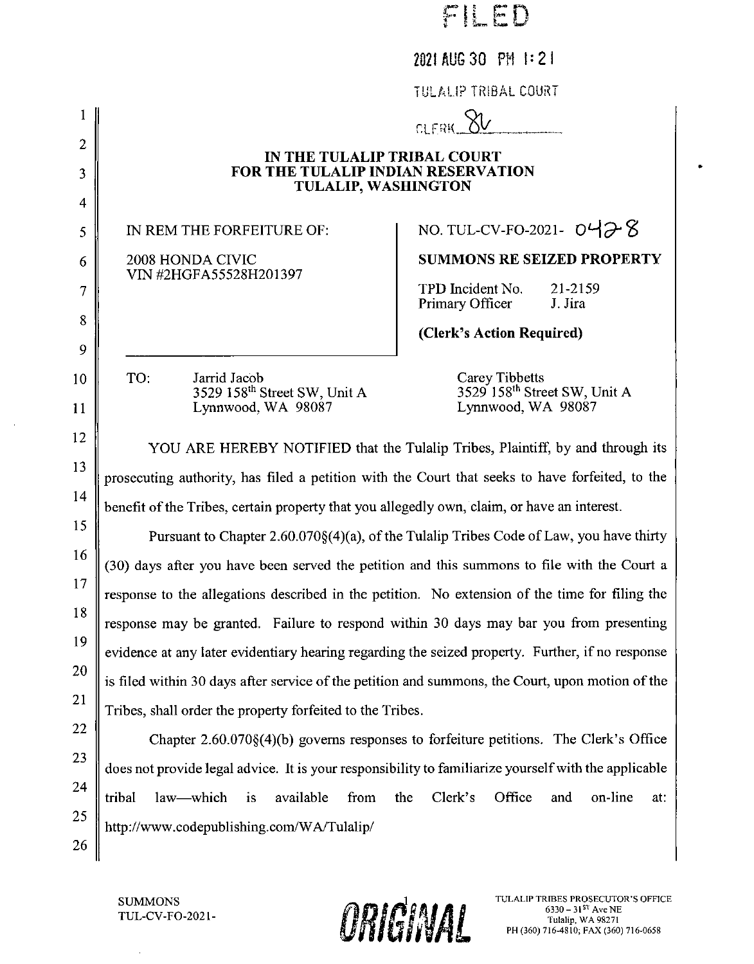|                |                                                                                                      | 2021 AUG 30 PM 1:21                                                                     |  |
|----------------|------------------------------------------------------------------------------------------------------|-----------------------------------------------------------------------------------------|--|
|                |                                                                                                      | TULALIP TRIBAL COURT                                                                    |  |
| 1              |                                                                                                      | CLERK XV                                                                                |  |
| $\overline{2}$ | IN THE TULALIP TRIBAL COURT                                                                          |                                                                                         |  |
| 3              | FOR THE TULALIP INDIAN RESERVATION<br><b>TULALIP, WASHINGTON</b>                                     |                                                                                         |  |
| 4              |                                                                                                      |                                                                                         |  |
| 5              | IN REM THE FORFEITURE OF:                                                                            | NO. TUL-CV-FO-2021- $0478$                                                              |  |
| 6              | 2008 HONDA CIVIC<br>VIN #2HGFA55528H201397                                                           | <b>SUMMONS RE SEIZED PROPERTY</b>                                                       |  |
| 7              |                                                                                                      | TPD Incident No.<br>21-2159<br>Primary Officer<br>J. Jira                               |  |
| 8              |                                                                                                      | (Clerk's Action Required)                                                               |  |
| 9              |                                                                                                      |                                                                                         |  |
| 10             | TO:<br>Jarrid Jacob<br>3529 158 <sup>th</sup> Street SW, Unit A                                      | Carey Tibbetts<br>3529 158 <sup>th</sup> Street SW, Unit A                              |  |
| 11             | Lynnwood, WA 98087                                                                                   | Lynnwood, WA 98087                                                                      |  |
| 12             |                                                                                                      | YOU ARE HEREBY NOTIFIED that the Tulalip Tribes, Plaintiff, by and through its          |  |
| 13             | prosecuting authority, has filed a petition with the Court that seeks to have forfeited, to the      |                                                                                         |  |
| 14             | benefit of the Tribes, certain property that you allegedly own, claim, or have an interest.          |                                                                                         |  |
| 15             |                                                                                                      | Pursuant to Chapter 2.60.070§(4)(a), of the Tulalip Tribes Code of Law, you have thirty |  |
| 16             | (30) days after you have been served the petition and this summons to file with the Court a          |                                                                                         |  |
| 17             | response to the allegations described in the petition. No extension of the time for filing the       |                                                                                         |  |
| 18             | response may be granted. Failure to respond within 30 days may bar you from presenting               |                                                                                         |  |
| 19             | evidence at any later evidentiary hearing regarding the seized property. Further, if no response     |                                                                                         |  |
| 20             | is filed within 30 days after service of the petition and summons, the Court, upon motion of the     |                                                                                         |  |
| 21             | Tribes, shall order the property forfeited to the Tribes.                                            |                                                                                         |  |
| 22             |                                                                                                      | Chapter 2.60.070§(4)(b) governs responses to forfeiture petitions. The Clerk's Office   |  |
| 23             | does not provide legal advice. It is your responsibility to familiarize yourself with the applicable |                                                                                         |  |
| 24             | tribal<br>law—which<br>available<br>from<br>$\mathbf{a}$                                             | Clerk's<br>Office<br>the<br>and<br>on-line<br>at:                                       |  |
| 25             | http://www.codepublishing.com/WA/Tulalip/                                                            |                                                                                         |  |
| 26             |                                                                                                      |                                                                                         |  |

ORICHNAL

FIFD

 $\bullet$ 

**SUMMONS** TUL-CV-FO-2021-

 $\hat{\mathcal{L}}$ 

 $\sim$ 

TULALIP TRIBES PROSECUTOR'S OFFICE<br>6330 - 31<sup>5T</sup> Ave NE<br>Tulalip, WA 98271<br>PH (360) 716-4810; FAX (360) 716-0658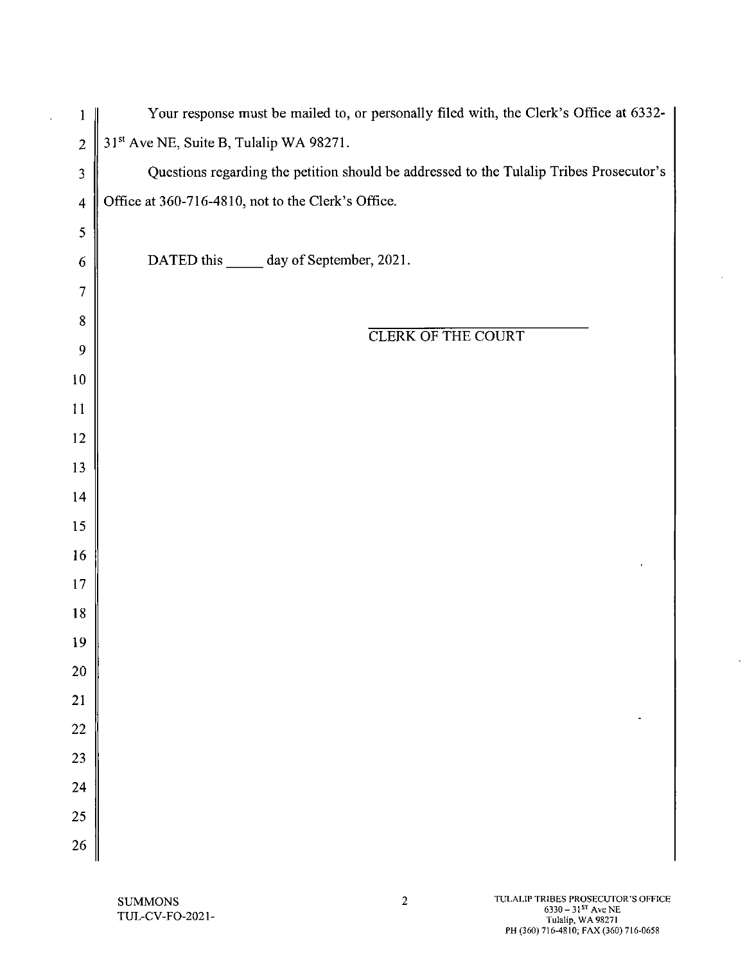| 1                       | Your response must be mailed to, or personally filed with, the Clerk's Office at 6332-  |
|-------------------------|-----------------------------------------------------------------------------------------|
| $\overline{c}$          | 31 <sup>st</sup> Ave NE, Suite B, Tulalip WA 98271.                                     |
| 3                       | Questions regarding the petition should be addressed to the Tulalip Tribes Prosecutor's |
| $\overline{\mathbf{4}}$ | Office at 360-716-4810, not to the Clerk's Office.                                      |
| 5                       |                                                                                         |
| 6                       | DATED this ______ day of September, 2021.                                               |
| 7                       |                                                                                         |
| 8                       |                                                                                         |
| 9                       | <b>CLERK OF THE COURT</b>                                                               |
| 10                      |                                                                                         |
| 11                      |                                                                                         |
| 12                      |                                                                                         |
| 13                      |                                                                                         |
| 14                      |                                                                                         |
| 15                      |                                                                                         |
| 16                      |                                                                                         |
| 17                      |                                                                                         |
| 18                      |                                                                                         |
| 19                      |                                                                                         |
| <b>20</b>               |                                                                                         |
| 21                      |                                                                                         |
| 22                      |                                                                                         |
| 23                      |                                                                                         |
| 24                      |                                                                                         |
| 25                      |                                                                                         |
| 26                      |                                                                                         |

 $\sim$   $\sim$ 

 $\hat{\mathcal{A}}$ 

 $\bar{\omega}$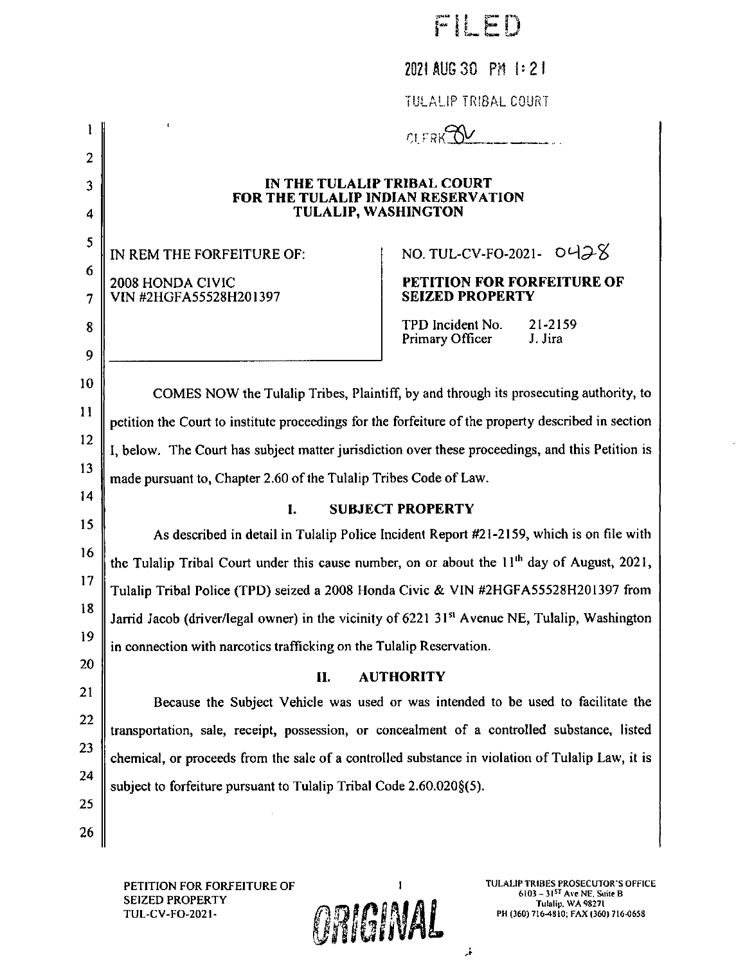|  | ê | -41 |  | ۰<br>ъ |
|--|---|-----|--|--------|
|--|---|-----|--|--------|

2021 AUG 30 PM 1:21

TULALIP TRIBAL COURT

| 2                |                                                                                                           |                                                                                                                                                 |  |
|------------------|-----------------------------------------------------------------------------------------------------------|-------------------------------------------------------------------------------------------------------------------------------------------------|--|
| 3<br>4           | IN THE TULALIP TRIBAL COURT<br>FOR THE TULALIP INDIAN RESERVATION<br><b>TULALIP, WASHINGTON</b>           |                                                                                                                                                 |  |
| 5<br>6<br>7<br>8 | IN REM THE FORFEITURE OF:<br>2008 HONDA CIVIC<br>VIN #2HGFA55528H201397                                   | NO. TUL-CV-FO-2021- $O428$<br>PETITION FOR FORFEITURE OF<br><b>SEIZED PROPERTY</b><br>21-2159<br>TPD Incident No.<br>Primary Officer<br>J. Jira |  |
| 9                |                                                                                                           |                                                                                                                                                 |  |
| 10               |                                                                                                           | COMES NOW the Tulalip Tribes, Plaintiff, by and through its prosecuting authority, to                                                           |  |
| 11               | petition the Court to institute proceedings for the forfeiture of the property described in section       |                                                                                                                                                 |  |
| 12               | I, below. The Court has subject matter jurisdiction over these proceedings, and this Petition is          |                                                                                                                                                 |  |
| 13               | made pursuant to, Chapter 2.60 of the Tulalip Tribes Code of Law.                                         |                                                                                                                                                 |  |
| 14               | <b>SUBJECT PROPERTY</b><br>I.                                                                             |                                                                                                                                                 |  |
| 15               |                                                                                                           | As described in detail in Tulalip Police Incident Report #21-2159, which is on file with                                                        |  |
| 16               | the Tulalip Tribal Court under this cause number, on or about the 11 <sup>th</sup> day of August, 2021,   |                                                                                                                                                 |  |
| 17               | Tulalip Tribal Police (TPD) seized a 2008 Honda Civic & VIN #2HGFA55528H201397 from                       |                                                                                                                                                 |  |
| 18               | Jarrid Jacob (driver/legal owner) in the vicinity of 6221 31 <sup>st</sup> Avenue NE, Tulalip, Washington |                                                                                                                                                 |  |
| 19               | in connection with narcotics trafficking on the Tulalip Reservation.                                      |                                                                                                                                                 |  |
| 20               | <b>AUTHORITY</b><br>П.                                                                                    |                                                                                                                                                 |  |
| 21               | Because the Subject Vehicle was used or was intended to be used to facilitate the                         |                                                                                                                                                 |  |
| 22               | transportation, sale, receipt, possession, or concealment of a controlled substance, listed               |                                                                                                                                                 |  |
| 23               | chemical, or proceeds from the sale of a controlled substance in violation of Tulalip Law, it is          |                                                                                                                                                 |  |
| 24               | subject to forfeiture pursuant to Tulalip Tribal Code 2.60.020§(5).                                       |                                                                                                                                                 |  |
| 25               |                                                                                                           |                                                                                                                                                 |  |
| 26               |                                                                                                           |                                                                                                                                                 |  |
|                  |                                                                                                           |                                                                                                                                                 |  |

PETITION FOR FORFEITURE OF SEIZED PROPERTY TUL-CV-FO-2021**TULALIP TRIBES PROSECUTOR'S OFFICE**<br>6103 - 31<sup>57</sup> Ave NE, Suite B<br>Tulalip, WA 98271 PH (360) 716-4810; FAX (360) 716-0658